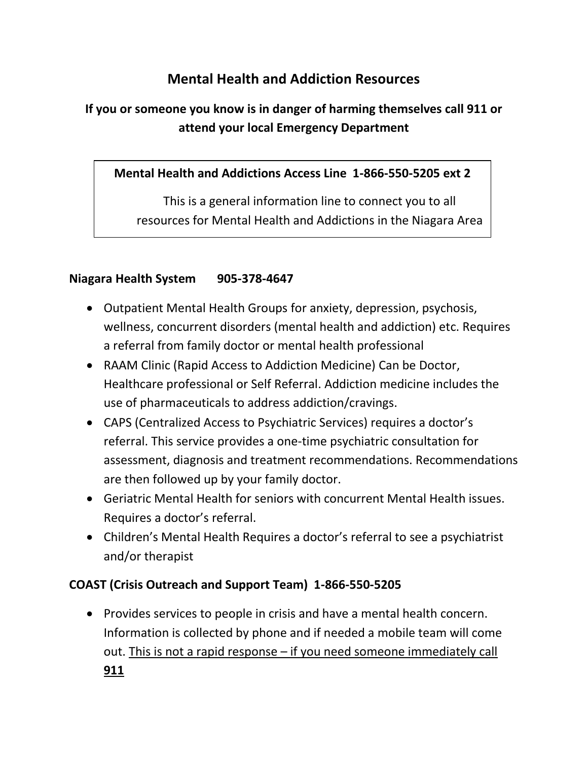# **Mental Health and Addiction Resources**

# **If you or someone you know is in danger of harming themselves call 911 or attend your local Emergency Department**

## **Mental Health and Addictions Access Line 1-866-550-5205 ext 2**

This is a general information line to connect you to all resources for Mental Health and Addictions in the Niagara Area

### **Niagara Health System 905-378-4647**

- Outpatient Mental Health Groups for anxiety, depression, psychosis, wellness, concurrent disorders (mental health and addiction) etc. Requires a referral from family doctor or mental health professional
- RAAM Clinic (Rapid Access to Addiction Medicine) Can be Doctor, Healthcare professional or Self Referral. Addiction medicine includes the use of pharmaceuticals to address addiction/cravings.
- CAPS (Centralized Access to Psychiatric Services) requires a doctor's referral. This service provides a one-time psychiatric consultation for assessment, diagnosis and treatment recommendations. Recommendations are then followed up by your family doctor.
- Geriatric Mental Health for seniors with concurrent Mental Health issues. Requires a doctor's referral.
- Children's Mental Health Requires a doctor's referral to see a psychiatrist and/or therapist

## **COAST (Crisis Outreach and Support Team) 1-866-550-5205**

• Provides services to people in crisis and have a mental health concern. Information is collected by phone and if needed a mobile team will come out. This is not a rapid response – if you need someone immediately call **911**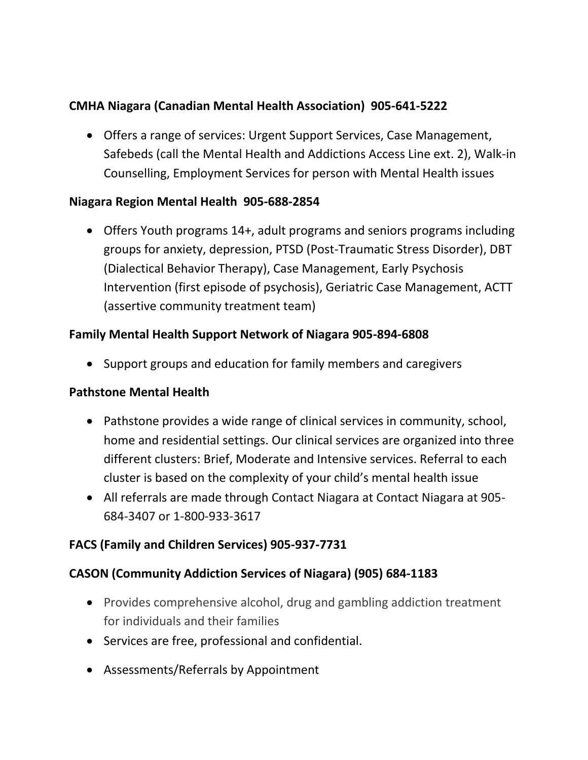# **CMHA Niagara (Canadian Mental Health Association) 905-641-5222**

 Offers a range of services: Urgent Support Services, Case Management, Safebeds (call the Mental Health and Addictions Access Line ext. 2), Walk-in Counselling, Employment Services for person with Mental Health issues

### **Niagara Region Mental Health 905-688-2854**

 Offers Youth programs 14+, adult programs and seniors programs including groups for anxiety, depression, PTSD (Post-Traumatic Stress Disorder), DBT (Dialectical Behavior Therapy), Case Management, Early Psychosis Intervention (first episode of psychosis), Geriatric Case Management, ACTT (assertive community treatment team)

#### **Family Mental Health Support Network of Niagara 905-894-6808**

• Support groups and education for family members and caregivers

#### **Pathstone Mental Health**

- Pathstone provides a wide range of clinical services in community, school, home and residential settings. Our clinical services are organized into three different clusters: Brief, Moderate and Intensive services. Referral to each cluster is based on the complexity of your child's mental health issue
- All referrals are made through Contact Niagara at Contact Niagara at 905- 684-3407 or 1-800-933-3617

#### **FACS (Family and Children Services) 905-937-7731**

#### **CASON (Community Addiction Services of Niagara) (905) 684-1183**

- Provides comprehensive alcohol, drug and gambling addiction treatment for individuals and their families
- Services are free, professional and confidential.
- Assessments/Referrals by Appointment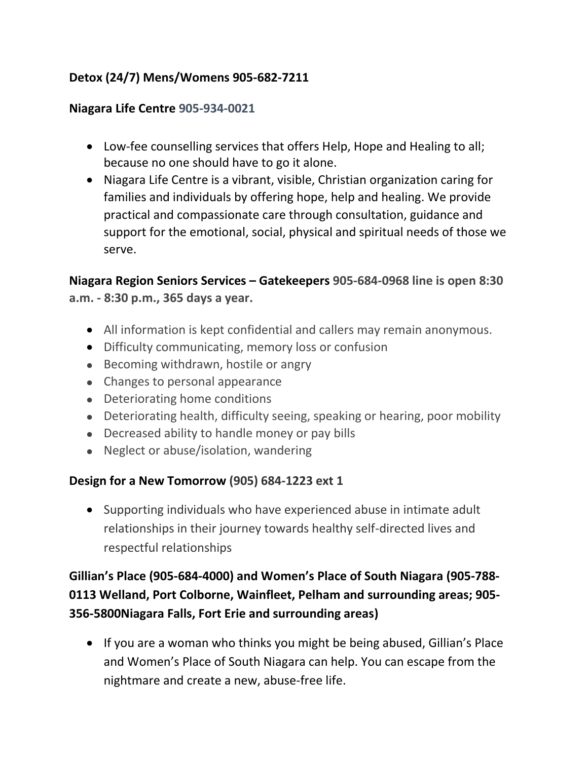# **Detox (24/7) Mens/Womens 905-682-7211**

#### **Niagara Life Centre 905-934-0021**

- Low-fee counselling services that offers Help, Hope and Healing to all; because no one should have to go it alone.
- Niagara Life Centre is a vibrant, visible, Christian organization caring for families and individuals by offering hope, help and healing. We provide practical and compassionate care through consultation, guidance and support for the emotional, social, physical and spiritual needs of those we serve.

### **Niagara Region Seniors Services – Gatekeepers 905-684-0968 line is open 8:30 a.m. - 8:30 p.m., 365 days a year.**

- All information is kept confidential and callers may remain anonymous.
- Difficulty communicating, memory loss or confusion
- Becoming withdrawn, hostile or angry
- Changes to personal appearance
- Deteriorating home conditions
- Deteriorating health, difficulty seeing, speaking or hearing, poor mobility
- Decreased ability to handle money or pay bills
- Neglect or abuse/isolation, wandering

#### **Design for a New Tomorrow (905) 684-1223 ext 1**

 Supporting individuals who have experienced abuse in intimate adult relationships in their journey towards healthy self-directed lives and respectful relationships

# **Gillian's Place (905-684-4000) and Women's Place of South Niagara (905-788- 0113 Welland, Port Colborne, Wainfleet, Pelham and surrounding areas; 905- 356-5800Niagara Falls, Fort Erie and surrounding areas)**

• If you are a woman who thinks you might be being abused, Gillian's Place and Women's Place of South Niagara can help. You can escape from the nightmare and create a new, abuse-free life.